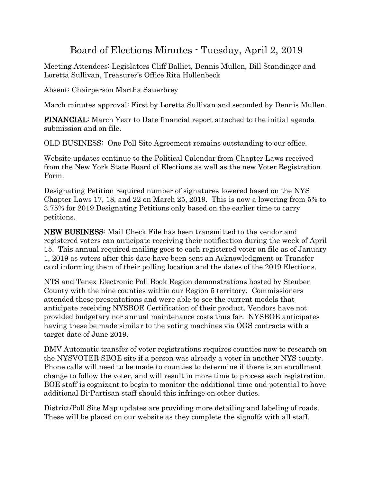## Board of Elections Minutes - Tuesday, April 2, 2019

Meeting Attendees: Legislators Cliff Balliet, Dennis Mullen, Bill Standinger and Loretta Sullivan, Treasurer's Office Rita Hollenbeck

Absent: Chairperson Martha Sauerbrey

March minutes approval: First by Loretta Sullivan and seconded by Dennis Mullen.

FINANCIAL: March Year to Date financial report attached to the initial agenda submission and on file.

OLD BUSINESS: One Poll Site Agreement remains outstanding to our office.

Website updates continue to the Political Calendar from Chapter Laws received from the New York State Board of Elections as well as the new Voter Registration Form.

Designating Petition required number of signatures lowered based on the NYS Chapter Laws 17, 18, and 22 on March 25, 2019. This is now a lowering from 5% to 3.75% for 2019 Designating Petitions only based on the earlier time to carry petitions.

NEW BUSINESS: Mail Check File has been transmitted to the vendor and registered voters can anticipate receiving their notification during the week of April 15. This annual required mailing goes to each registered voter on file as of January 1, 2019 as voters after this date have been sent an Acknowledgment or Transfer card informing them of their polling location and the dates of the 2019 Elections.

NTS and Tenex Electronic Poll Book Region demonstrations hosted by Steuben County with the nine counties within our Region 5 territory. Commissioners attended these presentations and were able to see the current models that anticipate receiving NYSBOE Certification of their product. Vendors have not provided budgetary nor annual maintenance costs thus far. NYSBOE anticipates having these be made similar to the voting machines via OGS contracts with a target date of June 2019.

DMV Automatic transfer of voter registrations requires counties now to research on the NYSVOTER SBOE site if a person was already a voter in another NYS county. Phone calls will need to be made to counties to determine if there is an enrollment change to follow the voter, and will result in more time to process each registration. BOE staff is cognizant to begin to monitor the additional time and potential to have additional Bi-Partisan staff should this infringe on other duties.

District/Poll Site Map updates are providing more detailing and labeling of roads. These will be placed on our website as they complete the signoffs with all staff.